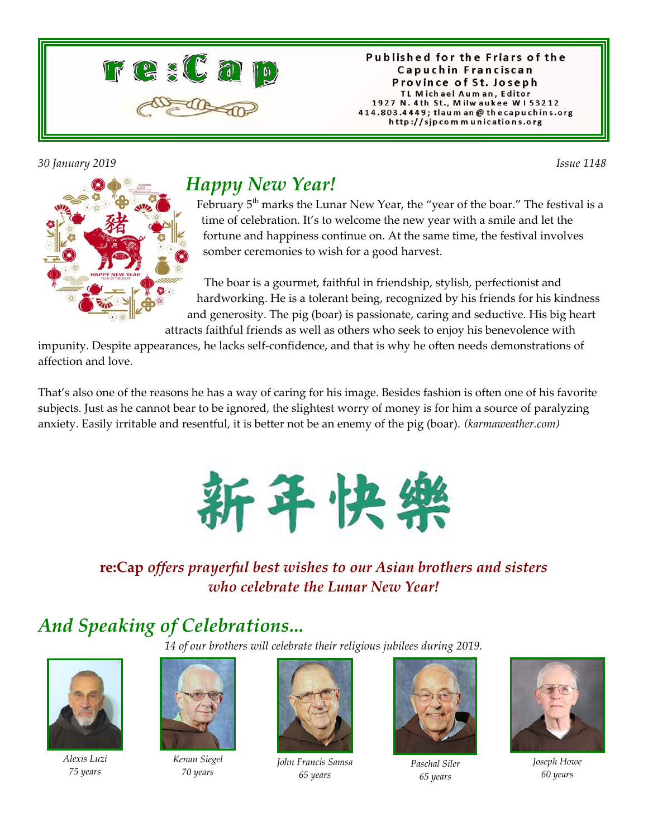

Published for the Friars of the Capuchin Franciscan Province of St. Joseph TL Michael Auman, Editor 1927 N. 4th St., Milwaukee W153212 414.803.4449; tlaum an @ thecapuchins.org http://sjpcommunications.org

*30 January 2019 Issue 1148* 



## *Happy New Year!*

February  $5<sup>th</sup>$  marks the Lunar New Year, the "year of the boar." The festival is a time of celebration. It's to welcome the new year with a smile and let the fortune and happiness continue on. At the same time, the festival involves somber ceremonies to wish for a good harvest.

 The boar is a gourmet, faithful in friendship, stylish, perfectionist and hardworking. He is a tolerant being, recognized by his friends for his kindness and generosity. The pig (boar) is passionate, caring and seductive. His big heart

attracts faithful friends as well as others who seek to enjoy his benevolence with impunity. Despite appearances, he lacks self-confidence, and that is why he often needs demonstrations of affection and love.

That's also one of the reasons he has a way of caring for his image. Besides fashion is often one of his favorite subjects. Just as he cannot bear to be ignored, the slightest worry of money is for him a source of paralyzing anxiety. Easily irritable and resentful, it is better not be an enemy of the pig (boar). *(karmaweather.com)*



### **re:Cap** *offers prayerful best wishes to our Asian brothers and sisters who celebrate the Lunar New Year!*

# *And Speaking of Celebrations...*

*14 of our brothers will celebrate their religious jubilees during 2019.*



*Alexis Luzi 75 years*



*Kenan Siegel 70 years*



*John Francis Samsa 65 years*



*Paschal Siler 65 years*



*Joseph Howe 60 years*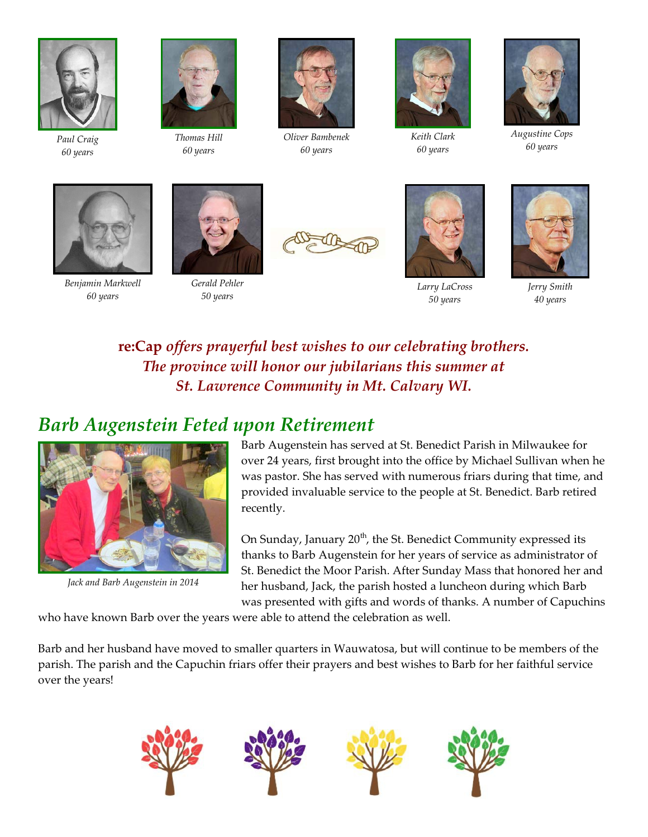

*Paul Craig 60 years*



*Thomas Hill 60 years*



*Oliver Bambenek 60 years*



*Keith Clark 60 years*



*Augustine Cops 60 years*



*Benjamin Markwell 60 years*



*Gerald Pehler 50 years*





*Larry LaCross 50 years*



*Jerry Smith 40 years*

### **re:Cap** *offers prayerful best wishes to our celebrating brothers. The province will honor our jubilarians this summer at St. Lawrence Community in Mt. Calvary WI.*

## *Barb Augenstein Feted upon Retirement*



*Jack and Barb Augenstein in 2014*

Barb Augenstein has served at St. Benedict Parish in Milwaukee for over 24 years, first brought into the office by Michael Sullivan when he was pastor. She has served with numerous friars during that time, and provided invaluable service to the people at St. Benedict. Barb retired recently.

On Sunday, January  $20<sup>th</sup>$ , the St. Benedict Community expressed its thanks to Barb Augenstein for her years of service as administrator of St. Benedict the Moor Parish. After Sunday Mass that honored her and her husband, Jack, the parish hosted a luncheon during which Barb was presented with gifts and words of thanks. A number of Capuchins

who have known Barb over the years were able to attend the celebration as well.

Barb and her husband have moved to smaller quarters in Wauwatosa, but will continue to be members of the parish. The parish and the Capuchin friars offer their prayers and best wishes to Barb for her faithful service over the years!

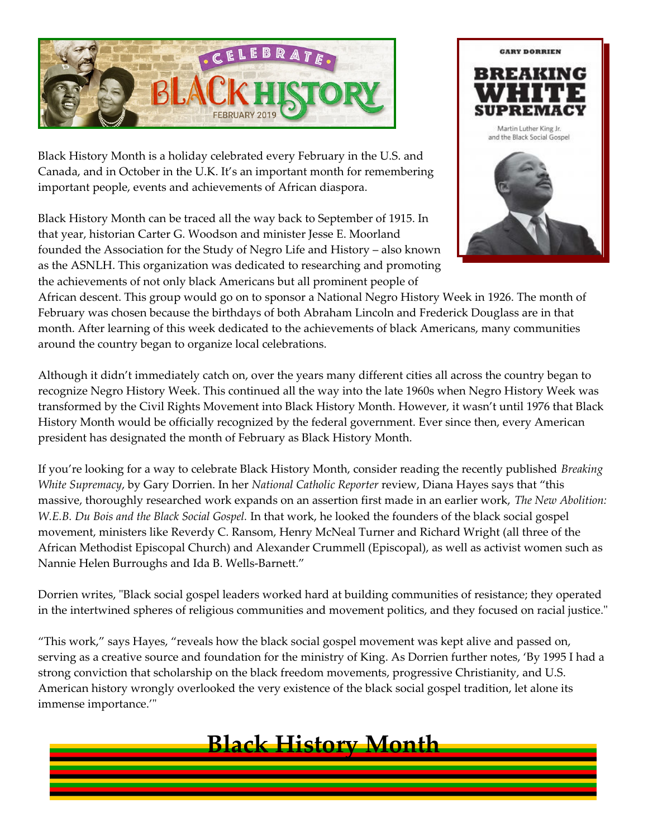

Black History Month is a holiday celebrated every February in the U.S. and Canada, and in October in the U.K. It's an important month for remembering important people, events and achievements of African diaspora.

Black History Month can be traced all the way back to September of 1915. In that year, historian Carter G. Woodson and minister Jesse E. Moorland founded the Association for the Study of Negro Life and History – also known as the ASNLH. This organization was dedicated to researching and promoting the achievements of not only black Americans but all prominent people of



African descent. This group would go on to sponsor a National Negro History Week in 1926. The month of February was chosen because the birthdays of both Abraham Lincoln and Frederick Douglass are in that month. After learning of this week dedicated to the achievements of black Americans, many communities around the country began to organize local celebrations.

Although it didn't immediately catch on, over the years many different cities all across the country began to recognize Negro History Week. This continued all the way into the late 1960s when Negro History Week was transformed by the Civil Rights Movement into Black History Month. However, it wasn't until 1976 that Black History Month would be officially recognized by the federal government. Ever since then, every American president has designated the month of February as Black History Month.

If you're looking for a way to celebrate Black History Month, consider reading the recently published *Breaking White Supremacy*, by Gary Dorrien. In her *National Catholic Reporter* review, Diana Hayes says that "this massive, thoroughly researched work expands on an assertion first made in an earlier work, *The New Abolition: W.E.B. Du Bois and the Black Social Gospel.* In that work, he looked the founders of the black social gospel movement, ministers like Reverdy C. Ransom, Henry McNeal Turner and Richard Wright (all three of the African Methodist Episcopal Church) and Alexander Crummell (Episcopal), as well as activist women such as Nannie Helen Burroughs and Ida B. Wells-Barnett."

Dorrien writes, "Black social gospel leaders worked hard at building communities of resistance; they operated in the intertwined spheres of religious communities and movement politics, and they focused on racial justice."

"This work," says Hayes, "reveals how the black social gospel movement was kept alive and passed on, serving as a creative source and foundation for the ministry of King. As Dorrien further notes, 'By 1995 I had a strong conviction that scholarship on the black freedom movements, progressive Christianity, and U.S. American history wrongly overlooked the very existence of the black social gospel tradition, let alone its immense importance.'"